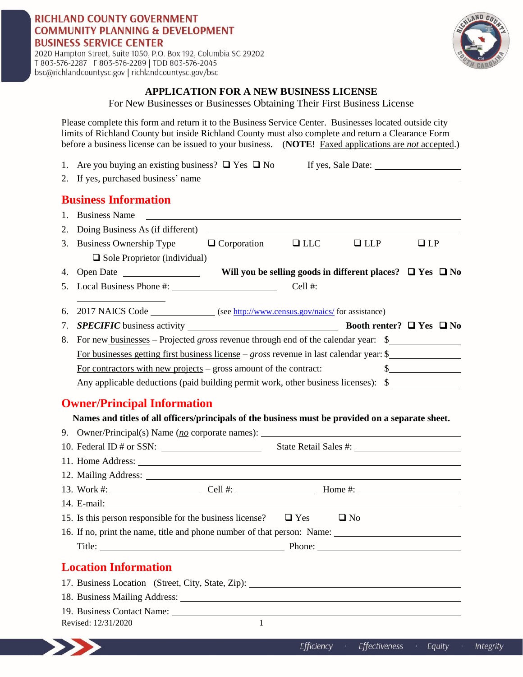## **RICHLAND COUNTY GOVERNMENT COMMUNITY PLANNING & DEVELOPMENT BUSINESS SERVICE CENTER**

2020 Hampton Street, Suite 1050, P.O. Box 192, Columbia SC 29202 T 803-576-2287 | F 803-576-2289 | TDD 803-576-2045 bsc@richlandcountysc.gov | richlandcountysc.gov/bsc



### **APPLICATION FOR A NEW BUSINESS LICENSE**

For New Businesses or Businesses Obtaining Their First Business License

Please complete this form and return it to the Business Service Center. Businesses located outside city limits of Richland County but inside Richland County must also complete and return a Clearance Form before a business license can be issued to your business. (**NOTE**! Faxed applications are *not* accepted.)

| <b>Business Information</b><br><b>Business Name</b><br>Doing Business As (if different)<br><b>Business Ownership Type</b><br>$\Box$ Corporation<br>$\Box$ LLC<br>$\Box$ LLP<br>$\Box$ Sole Proprietor (individual)<br>Open Date<br>Will you be selling goods in different places? $\Box$ Yes $\Box$ No<br>Cell #:<br>2017 NAICS Code _______________ (see http://www.census.gov/naics/ for assistance)<br>For new businesses – Projected <i>gross</i> revenue through end of the calendar year: \$<br>For businesses getting first business license – gross revenue in last calendar year: $\frac{1}{2}$<br>$\frac{\text{S}}{\text{S}}$<br>For contractors with new projects $-$ gross amount of the contract:<br>Any applicable deductions (paid building permit work, other business licenses): \$<br><b>Owner/Principal Information</b><br>Names and titles of all officers/principals of the business must be provided on a separate sheet.<br>15. Is this person responsible for the business license? $\Box$ Yes<br>$\Box$ No<br>16. If no, print the name, title and phone number of that person: Name:<br>Title: $\overline{\phantom{a}}$<br><b>Location Information</b><br>17. Business Location (Street, City, State, Zip): 17. Business Location (Street, City, State, Zip):<br>19. Business Contact Name:<br>$\mathbf{1}$<br>Revised: 12/31/2020<br>Efficiency<br>Effectiveness<br>Equity |    | 1. Are you buying an existing business? $\Box$ Yes $\Box$ No If yes, Sale Date: |  |           |
|-------------------------------------------------------------------------------------------------------------------------------------------------------------------------------------------------------------------------------------------------------------------------------------------------------------------------------------------------------------------------------------------------------------------------------------------------------------------------------------------------------------------------------------------------------------------------------------------------------------------------------------------------------------------------------------------------------------------------------------------------------------------------------------------------------------------------------------------------------------------------------------------------------------------------------------------------------------------------------------------------------------------------------------------------------------------------------------------------------------------------------------------------------------------------------------------------------------------------------------------------------------------------------------------------------------------------------------------------------------------------------------------------------|----|---------------------------------------------------------------------------------|--|-----------|
|                                                                                                                                                                                                                                                                                                                                                                                                                                                                                                                                                                                                                                                                                                                                                                                                                                                                                                                                                                                                                                                                                                                                                                                                                                                                                                                                                                                                       |    |                                                                                 |  |           |
|                                                                                                                                                                                                                                                                                                                                                                                                                                                                                                                                                                                                                                                                                                                                                                                                                                                                                                                                                                                                                                                                                                                                                                                                                                                                                                                                                                                                       |    |                                                                                 |  |           |
|                                                                                                                                                                                                                                                                                                                                                                                                                                                                                                                                                                                                                                                                                                                                                                                                                                                                                                                                                                                                                                                                                                                                                                                                                                                                                                                                                                                                       | 1. |                                                                                 |  |           |
|                                                                                                                                                                                                                                                                                                                                                                                                                                                                                                                                                                                                                                                                                                                                                                                                                                                                                                                                                                                                                                                                                                                                                                                                                                                                                                                                                                                                       | 2. |                                                                                 |  |           |
|                                                                                                                                                                                                                                                                                                                                                                                                                                                                                                                                                                                                                                                                                                                                                                                                                                                                                                                                                                                                                                                                                                                                                                                                                                                                                                                                                                                                       | 3. |                                                                                 |  | $\Box$ LP |
|                                                                                                                                                                                                                                                                                                                                                                                                                                                                                                                                                                                                                                                                                                                                                                                                                                                                                                                                                                                                                                                                                                                                                                                                                                                                                                                                                                                                       |    |                                                                                 |  |           |
|                                                                                                                                                                                                                                                                                                                                                                                                                                                                                                                                                                                                                                                                                                                                                                                                                                                                                                                                                                                                                                                                                                                                                                                                                                                                                                                                                                                                       | 4. |                                                                                 |  |           |
|                                                                                                                                                                                                                                                                                                                                                                                                                                                                                                                                                                                                                                                                                                                                                                                                                                                                                                                                                                                                                                                                                                                                                                                                                                                                                                                                                                                                       |    |                                                                                 |  |           |
|                                                                                                                                                                                                                                                                                                                                                                                                                                                                                                                                                                                                                                                                                                                                                                                                                                                                                                                                                                                                                                                                                                                                                                                                                                                                                                                                                                                                       | 6. |                                                                                 |  |           |
|                                                                                                                                                                                                                                                                                                                                                                                                                                                                                                                                                                                                                                                                                                                                                                                                                                                                                                                                                                                                                                                                                                                                                                                                                                                                                                                                                                                                       | 7. |                                                                                 |  |           |
|                                                                                                                                                                                                                                                                                                                                                                                                                                                                                                                                                                                                                                                                                                                                                                                                                                                                                                                                                                                                                                                                                                                                                                                                                                                                                                                                                                                                       | 8. |                                                                                 |  |           |
|                                                                                                                                                                                                                                                                                                                                                                                                                                                                                                                                                                                                                                                                                                                                                                                                                                                                                                                                                                                                                                                                                                                                                                                                                                                                                                                                                                                                       |    |                                                                                 |  |           |
|                                                                                                                                                                                                                                                                                                                                                                                                                                                                                                                                                                                                                                                                                                                                                                                                                                                                                                                                                                                                                                                                                                                                                                                                                                                                                                                                                                                                       |    |                                                                                 |  |           |
|                                                                                                                                                                                                                                                                                                                                                                                                                                                                                                                                                                                                                                                                                                                                                                                                                                                                                                                                                                                                                                                                                                                                                                                                                                                                                                                                                                                                       |    |                                                                                 |  |           |
|                                                                                                                                                                                                                                                                                                                                                                                                                                                                                                                                                                                                                                                                                                                                                                                                                                                                                                                                                                                                                                                                                                                                                                                                                                                                                                                                                                                                       |    |                                                                                 |  |           |
|                                                                                                                                                                                                                                                                                                                                                                                                                                                                                                                                                                                                                                                                                                                                                                                                                                                                                                                                                                                                                                                                                                                                                                                                                                                                                                                                                                                                       |    |                                                                                 |  |           |
|                                                                                                                                                                                                                                                                                                                                                                                                                                                                                                                                                                                                                                                                                                                                                                                                                                                                                                                                                                                                                                                                                                                                                                                                                                                                                                                                                                                                       |    |                                                                                 |  |           |
|                                                                                                                                                                                                                                                                                                                                                                                                                                                                                                                                                                                                                                                                                                                                                                                                                                                                                                                                                                                                                                                                                                                                                                                                                                                                                                                                                                                                       |    |                                                                                 |  |           |
|                                                                                                                                                                                                                                                                                                                                                                                                                                                                                                                                                                                                                                                                                                                                                                                                                                                                                                                                                                                                                                                                                                                                                                                                                                                                                                                                                                                                       |    |                                                                                 |  |           |
|                                                                                                                                                                                                                                                                                                                                                                                                                                                                                                                                                                                                                                                                                                                                                                                                                                                                                                                                                                                                                                                                                                                                                                                                                                                                                                                                                                                                       |    |                                                                                 |  |           |
|                                                                                                                                                                                                                                                                                                                                                                                                                                                                                                                                                                                                                                                                                                                                                                                                                                                                                                                                                                                                                                                                                                                                                                                                                                                                                                                                                                                                       |    |                                                                                 |  |           |
|                                                                                                                                                                                                                                                                                                                                                                                                                                                                                                                                                                                                                                                                                                                                                                                                                                                                                                                                                                                                                                                                                                                                                                                                                                                                                                                                                                                                       |    |                                                                                 |  |           |
|                                                                                                                                                                                                                                                                                                                                                                                                                                                                                                                                                                                                                                                                                                                                                                                                                                                                                                                                                                                                                                                                                                                                                                                                                                                                                                                                                                                                       |    |                                                                                 |  |           |
|                                                                                                                                                                                                                                                                                                                                                                                                                                                                                                                                                                                                                                                                                                                                                                                                                                                                                                                                                                                                                                                                                                                                                                                                                                                                                                                                                                                                       |    |                                                                                 |  |           |
|                                                                                                                                                                                                                                                                                                                                                                                                                                                                                                                                                                                                                                                                                                                                                                                                                                                                                                                                                                                                                                                                                                                                                                                                                                                                                                                                                                                                       |    |                                                                                 |  |           |
|                                                                                                                                                                                                                                                                                                                                                                                                                                                                                                                                                                                                                                                                                                                                                                                                                                                                                                                                                                                                                                                                                                                                                                                                                                                                                                                                                                                                       |    |                                                                                 |  |           |
|                                                                                                                                                                                                                                                                                                                                                                                                                                                                                                                                                                                                                                                                                                                                                                                                                                                                                                                                                                                                                                                                                                                                                                                                                                                                                                                                                                                                       |    |                                                                                 |  |           |
|                                                                                                                                                                                                                                                                                                                                                                                                                                                                                                                                                                                                                                                                                                                                                                                                                                                                                                                                                                                                                                                                                                                                                                                                                                                                                                                                                                                                       |    |                                                                                 |  |           |
|                                                                                                                                                                                                                                                                                                                                                                                                                                                                                                                                                                                                                                                                                                                                                                                                                                                                                                                                                                                                                                                                                                                                                                                                                                                                                                                                                                                                       |    |                                                                                 |  |           |